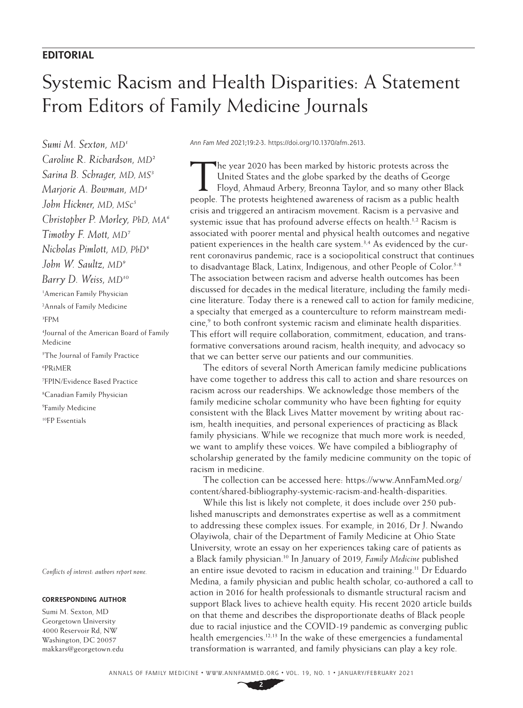# **EDITORIAL**

# Systemic Racism and Health Disparities: A Statement From Editors of Family Medicine Journals

*Sumi M. Sexton, MD1 Caroline R. Richardson, MD2 Sarina B. Schrager, MD, MS3 Marjorie A. Bowman, MD4 John Hickner, MD, MSc5 Christopher P. Morley, PhD, MA6 Timothy F. Mott, MD7 Nicholas Pimlott, MD, PhD8 John W. Saultz, MD9 Barry D. Weiss, MD10* 1 American Family Physician 2 Annals of Family Medicine 3 FPM 4 Journal of the American Board of Family Medicine 5 The Journal of Family Practice 6 PRiMER 7 FPIN/Evidence Based Practice 8 Canadian Family Physician 9 Family Medicine 10FP Essentials

*Conflicts of interest: authors report none.*

## **CORRESPONDING AUTHOR**

Sumi M. Sexton, MD Georgetown University 4000 Reservoir Rd, NW Washington, DC 20057 [makkars@georgetown.edu](mailto:makkars@georgetown.edu) *Ann Fam Med* 2021;19:2-3.<https://doi.org/10.1370/afm.2613>.

The year 2020 has been marked by historic protests across the United States and the globe sparked by the deaths of George Floyd, Ahmaud Arbery, Breonna Taylor, and so many other Black people. The protests heightened awareness of racism as a public health crisis and triggered an antiracism movement. Racism is a pervasive and systemic issue that has profound adverse effects on health.<sup>1,2</sup> Racism is associated with poorer mental and physical health outcomes and negative patient experiences in the health care system.<sup>3,4</sup> As evidenced by the current coronavirus pandemic, race is a sociopolitical construct that continues to disadvantage Black, Latinx, Indigenous, and other People of Color.<sup>5-8</sup> The association between racism and adverse health outcomes has been discussed for decades in the medical literature, including the family medicine literature. Today there is a renewed call to action for family medicine, a specialty that emerged as a counterculture to reform mainstream medicine,<sup>9</sup> to both confront systemic racism and eliminate health disparities. This effort will require collaboration, commitment, education, and transformative conversations around racism, health inequity, and advocacy so that we can better serve our patients and our communities.

The editors of several North American family medicine publications have come together to address this call to action and share resources on racism across our readerships. We acknowledge those members of the family medicine scholar community who have been fighting for equity consistent with the Black Lives Matter movement by writing about racism, health inequities, and personal experiences of practicing as Black family physicians. While we recognize that much more work is needed, we want to amplify these voices. We have compiled a bibliography of scholarship generated by the family medicine community on the topic of racism in medicine.

The collection can be accessed here: [https://www.AnnFamMed.org/](https://www.Ann​Fam​Med.org/content/shared-bibliography-systemic-racism-and-health-disparities) [content/shared-bibliography-systemic-racism-and-health-disparities](https://www.Ann​Fam​Med.org/content/shared-bibliography-systemic-racism-and-health-disparities).

While this list is likely not complete, it does include over 250 published manuscripts and demonstrates expertise as well as a commitment to addressing these complex issues. For example, in 2016, Dr J. Nwando Olayiwola, chair of the Department of Family Medicine at Ohio State University, wrote an essay on her experiences taking care of patients as a Black family physician.10 In January of 2019, *Family Medicine* published an entire issue devoted to racism in education and training.11 Dr Eduardo Medina, a family physician and public health scholar, co-authored a call to action in 2016 for health professionals to dismantle structural racism and support Black lives to achieve health equity. His recent 2020 article builds on that theme and describes the disproportionate deaths of Black people due to racial injustice and the COVID-19 pandemic as converging public health emergencies.<sup>12,13</sup> In the wake of these emergencies a fundamental transformation is warranted, and family physicians can play a key role.

ANNALS OF FAMILY MEDICINE ✦ WWW.ANNFAMMED.ORG ✦ VOL. 19, NO. 1 ✦ JANUARY/FEBRUARY 2021